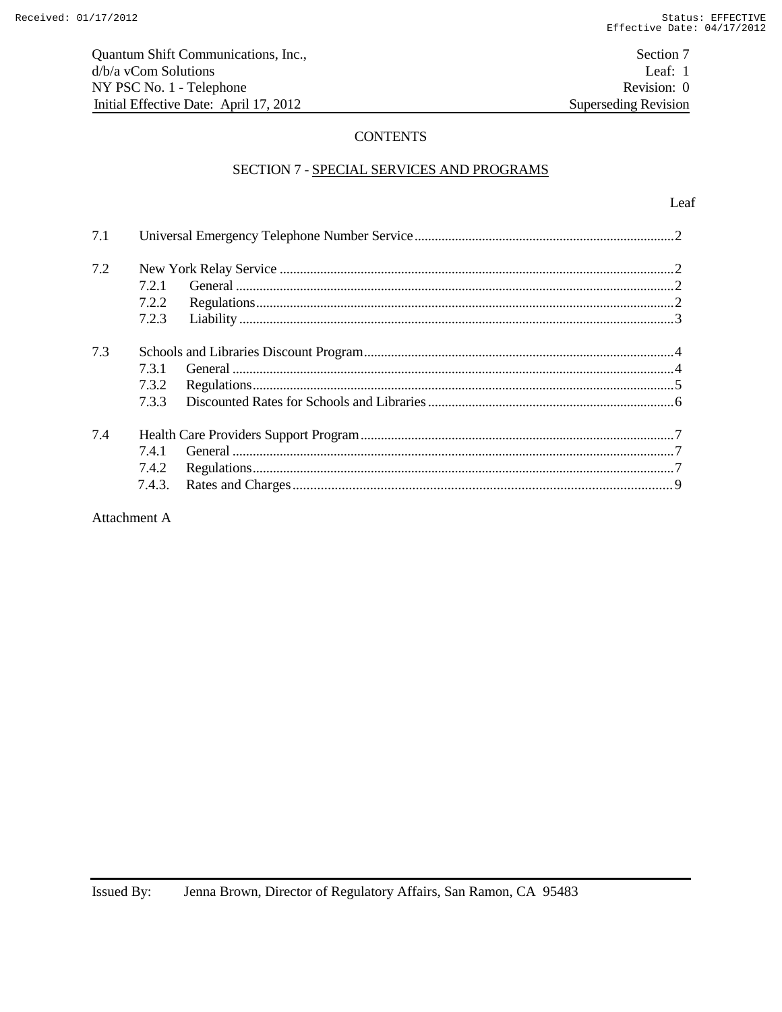# **CONTENTS**

### SECTION 7 - SPECIAL SERVICES AND PROGRAMS

| 7.1 |        |  |  |
|-----|--------|--|--|
| 7.2 |        |  |  |
|     | 7.2.1  |  |  |
|     | 7.2.2  |  |  |
|     | 7.2.3  |  |  |
| 7.3 |        |  |  |
|     | 7.3.1  |  |  |
|     | 7.3.2  |  |  |
|     | 733    |  |  |
| 7.4 |        |  |  |
|     | 7.4.1  |  |  |
|     | 7.4.2  |  |  |
|     | 7.4.3. |  |  |

Attachment A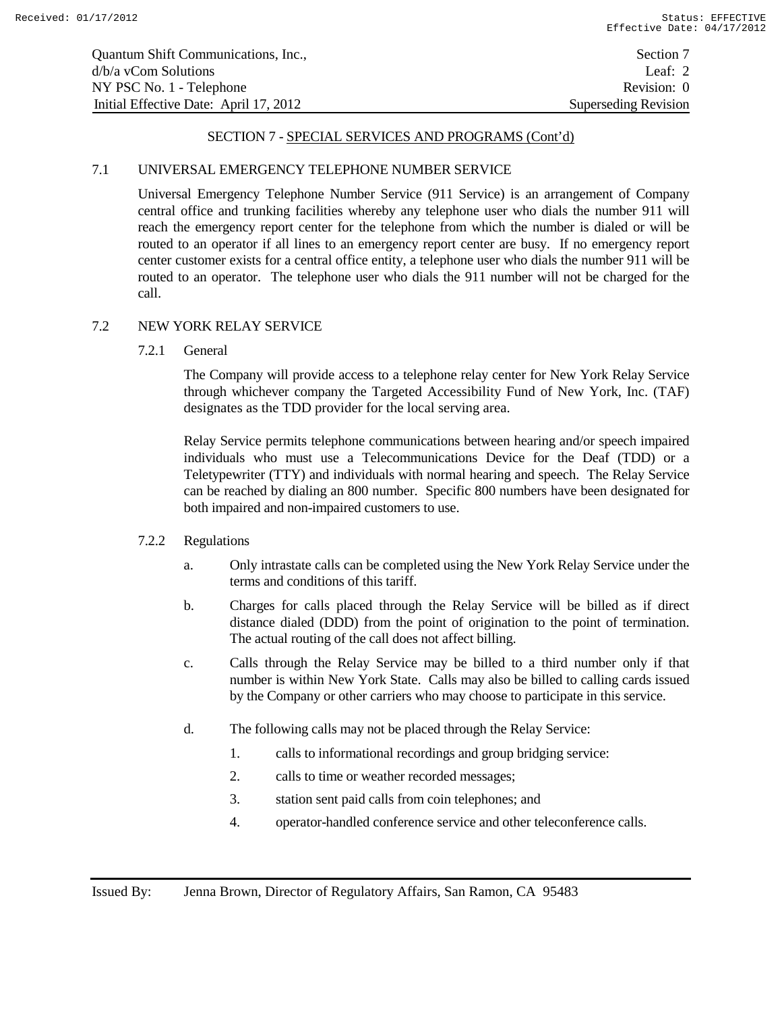### 7.1 UNIVERSAL EMERGENCY TELEPHONE NUMBER SERVICE

Universal Emergency Telephone Number Service (911 Service) is an arrangement of Company central office and trunking facilities whereby any telephone user who dials the number 911 will reach the emergency report center for the telephone from which the number is dialed or will be routed to an operator if all lines to an emergency report center are busy. If no emergency report center customer exists for a central office entity, a telephone user who dials the number 911 will be routed to an operator. The telephone user who dials the 911 number will not be charged for the call.

#### 7.2 NEW YORK RELAY SERVICE

7.2.1 General

The Company will provide access to a telephone relay center for New York Relay Service through whichever company the Targeted Accessibility Fund of New York, Inc. (TAF) designates as the TDD provider for the local serving area.

Relay Service permits telephone communications between hearing and/or speech impaired individuals who must use a Telecommunications Device for the Deaf (TDD) or a Teletypewriter (TTY) and individuals with normal hearing and speech. The Relay Service can be reached by dialing an 800 number. Specific 800 numbers have been designated for both impaired and non-impaired customers to use.

#### 7.2.2 Regulations

- a. Only intrastate calls can be completed using the New York Relay Service under the terms and conditions of this tariff.
- b. Charges for calls placed through the Relay Service will be billed as if direct distance dialed (DDD) from the point of origination to the point of termination. The actual routing of the call does not affect billing.
- c. Calls through the Relay Service may be billed to a third number only if that number is within New York State. Calls may also be billed to calling cards issued by the Company or other carriers who may choose to participate in this service.
- d. The following calls may not be placed through the Relay Service:
	- 1. calls to informational recordings and group bridging service:
	- 2. calls to time or weather recorded messages;
	- 3. station sent paid calls from coin telephones; and
	- 4. operator-handled conference service and other teleconference calls.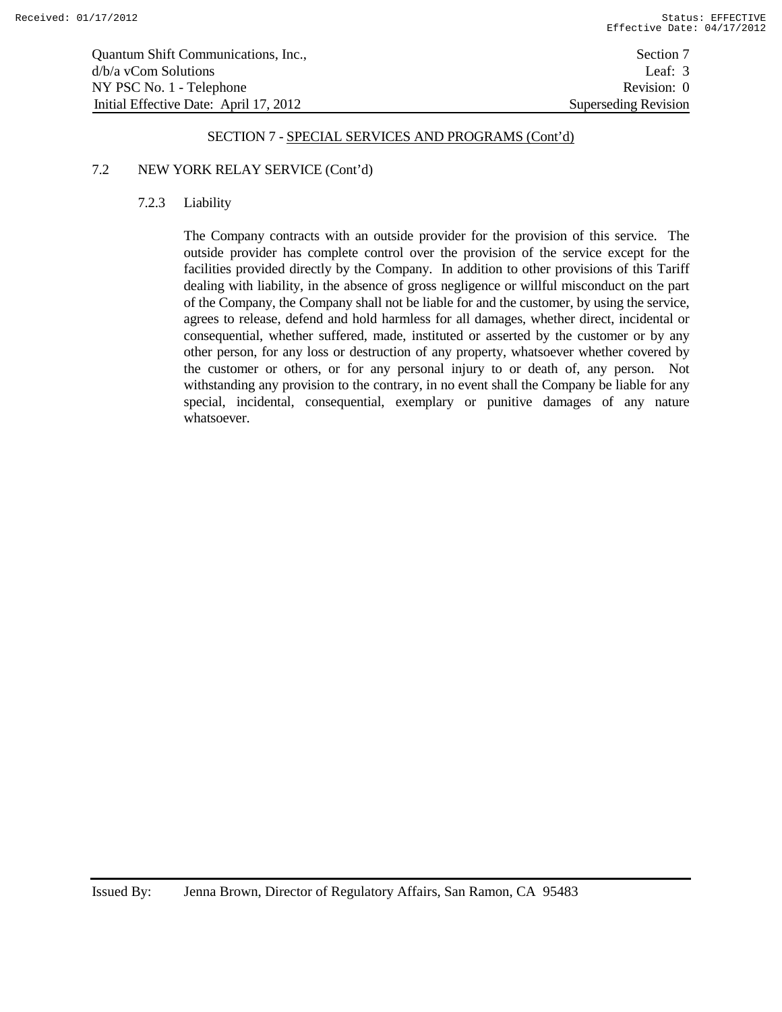| Quantum Shift Communications, Inc.,    | Section 7            |
|----------------------------------------|----------------------|
| d/b/a vCom Solutions                   | Leaf: $3$            |
| NY PSC No. 1 - Telephone               | Revision: 0          |
| Initial Effective Date: April 17, 2012 | Superseding Revision |

### 7.2 NEW YORK RELAY SERVICE (Cont'd)

#### 7.2.3 Liability

The Company contracts with an outside provider for the provision of this service. The outside provider has complete control over the provision of the service except for the facilities provided directly by the Company. In addition to other provisions of this Tariff dealing with liability, in the absence of gross negligence or willful misconduct on the part of the Company, the Company shall not be liable for and the customer, by using the service, agrees to release, defend and hold harmless for all damages, whether direct, incidental or consequential, whether suffered, made, instituted or asserted by the customer or by any other person, for any loss or destruction of any property, whatsoever whether covered by the customer or others, or for any personal injury to or death of, any person. Not withstanding any provision to the contrary, in no event shall the Company be liable for any special, incidental, consequential, exemplary or punitive damages of any nature whatsoever.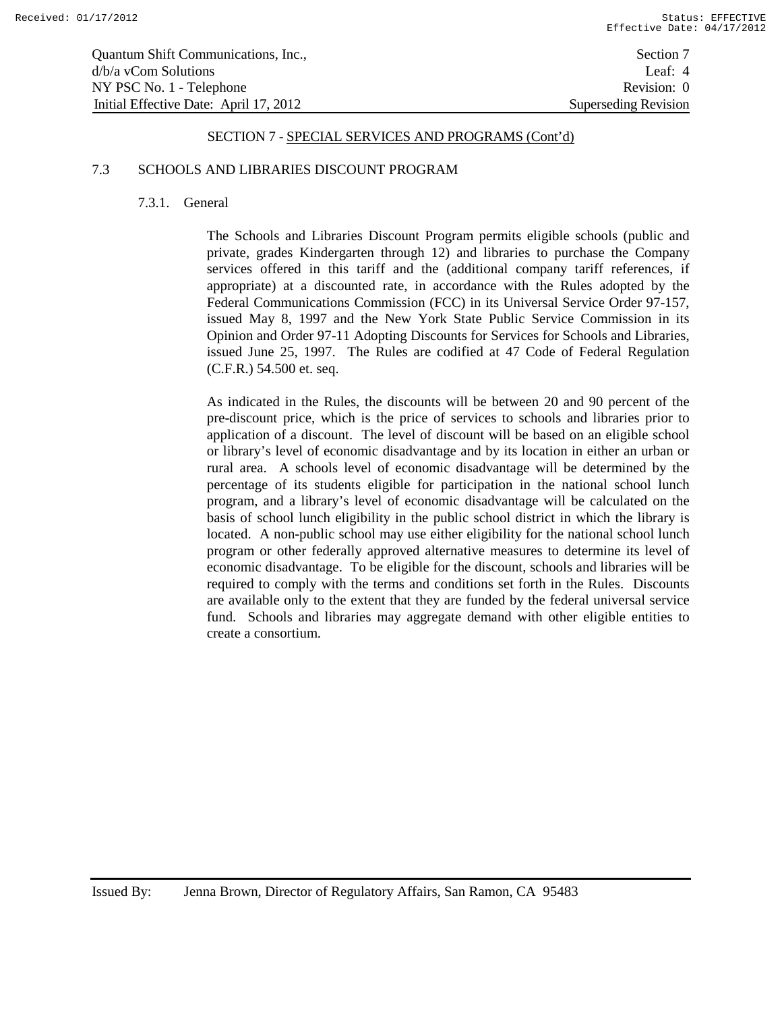| Quantum Shift Communications, Inc.,    | Section 7                   |
|----------------------------------------|-----------------------------|
| $d/b/a$ vCom Solutions                 | Leaf: $4$                   |
| NY PSC No. 1 - Telephone               | Revision: 0                 |
| Initial Effective Date: April 17, 2012 | <b>Superseding Revision</b> |

#### 7.3 SCHOOLS AND LIBRARIES DISCOUNT PROGRAM

#### 7.3.1. General

The Schools and Libraries Discount Program permits eligible schools (public and private, grades Kindergarten through 12) and libraries to purchase the Company services offered in this tariff and the (additional company tariff references, if appropriate) at a discounted rate, in accordance with the Rules adopted by the Federal Communications Commission (FCC) in its Universal Service Order 97-157, issued May 8, 1997 and the New York State Public Service Commission in its Opinion and Order 97-11 Adopting Discounts for Services for Schools and Libraries, issued June 25, 1997. The Rules are codified at 47 Code of Federal Regulation (C.F.R.) 54.500 et. seq.

As indicated in the Rules, the discounts will be between 20 and 90 percent of the pre-discount price, which is the price of services to schools and libraries prior to application of a discount. The level of discount will be based on an eligible school or library's level of economic disadvantage and by its location in either an urban or rural area. A schools level of economic disadvantage will be determined by the percentage of its students eligible for participation in the national school lunch program, and a library's level of economic disadvantage will be calculated on the basis of school lunch eligibility in the public school district in which the library is located. A non-public school may use either eligibility for the national school lunch program or other federally approved alternative measures to determine its level of economic disadvantage. To be eligible for the discount, schools and libraries will be required to comply with the terms and conditions set forth in the Rules. Discounts are available only to the extent that they are funded by the federal universal service fund. Schools and libraries may aggregate demand with other eligible entities to create a consortium.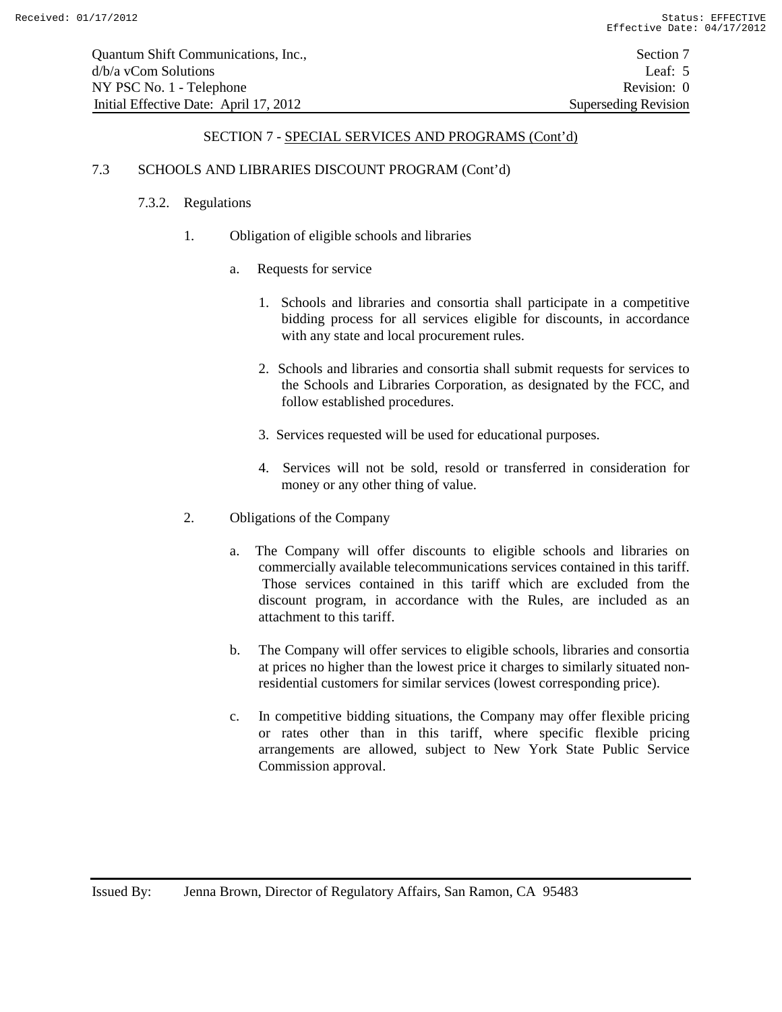## 7.3 SCHOOLS AND LIBRARIES DISCOUNT PROGRAM (Cont'd)

## 7.3.2. Regulations

- 1. Obligation of eligible schools and libraries
	- a. Requests for service
		- 1. Schools and libraries and consortia shall participate in a competitive bidding process for all services eligible for discounts, in accordance with any state and local procurement rules.
		- 2. Schools and libraries and consortia shall submit requests for services to the Schools and Libraries Corporation, as designated by the FCC, and follow established procedures.
		- 3. Services requested will be used for educational purposes.
		- 4. Services will not be sold, resold or transferred in consideration for money or any other thing of value.
- 2. Obligations of the Company
	- a. The Company will offer discounts to eligible schools and libraries on commercially available telecommunications services contained in this tariff. Those services contained in this tariff which are excluded from the discount program, in accordance with the Rules, are included as an attachment to this tariff.
	- b. The Company will offer services to eligible schools, libraries and consortia at prices no higher than the lowest price it charges to similarly situated nonresidential customers for similar services (lowest corresponding price).
	- c. In competitive bidding situations, the Company may offer flexible pricing or rates other than in this tariff, where specific flexible pricing arrangements are allowed, subject to New York State Public Service Commission approval.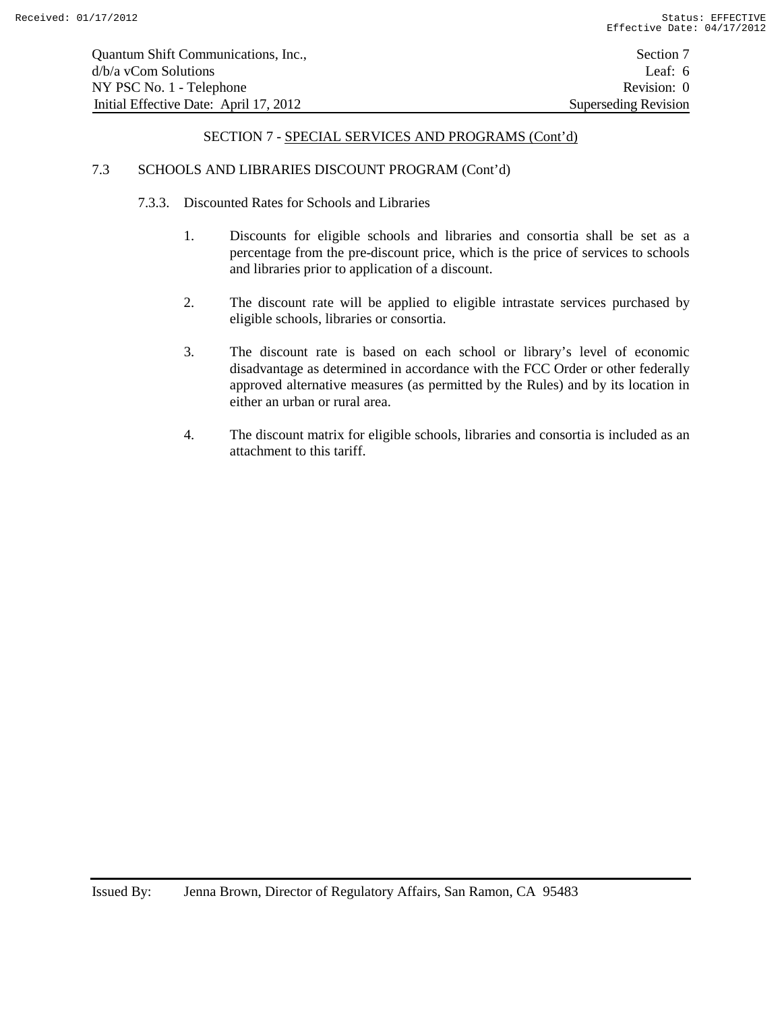#### 7.3 SCHOOLS AND LIBRARIES DISCOUNT PROGRAM (Cont'd)

- 7.3.3. Discounted Rates for Schools and Libraries
	- 1. Discounts for eligible schools and libraries and consortia shall be set as a percentage from the pre-discount price, which is the price of services to schools and libraries prior to application of a discount.
	- 2. The discount rate will be applied to eligible intrastate services purchased by eligible schools, libraries or consortia.
	- 3. The discount rate is based on each school or library's level of economic disadvantage as determined in accordance with the FCC Order or other federally approved alternative measures (as permitted by the Rules) and by its location in either an urban or rural area.
	- 4. The discount matrix for eligible schools, libraries and consortia is included as an attachment to this tariff.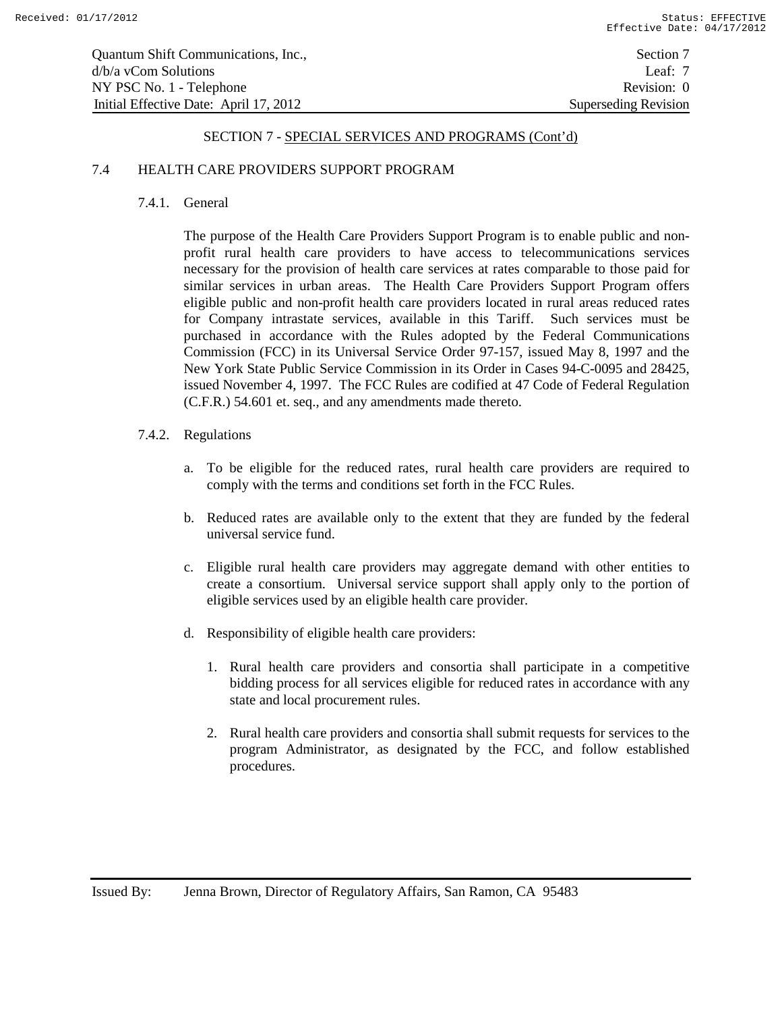#### 7.4 HEALTH CARE PROVIDERS SUPPORT PROGRAM

#### 7.4.1. General

The purpose of the Health Care Providers Support Program is to enable public and nonprofit rural health care providers to have access to telecommunications services necessary for the provision of health care services at rates comparable to those paid for similar services in urban areas. The Health Care Providers Support Program offers eligible public and non-profit health care providers located in rural areas reduced rates for Company intrastate services, available in this Tariff. Such services must be purchased in accordance with the Rules adopted by the Federal Communications Commission (FCC) in its Universal Service Order 97-157, issued May 8, 1997 and the New York State Public Service Commission in its Order in Cases 94-C-0095 and 28425, issued November 4, 1997. The FCC Rules are codified at 47 Code of Federal Regulation (C.F.R.) 54.601 et. seq., and any amendments made thereto.

- 7.4.2. Regulations
	- a. To be eligible for the reduced rates, rural health care providers are required to comply with the terms and conditions set forth in the FCC Rules.
	- b. Reduced rates are available only to the extent that they are funded by the federal universal service fund.
	- c. Eligible rural health care providers may aggregate demand with other entities to create a consortium. Universal service support shall apply only to the portion of eligible services used by an eligible health care provider.
	- d. Responsibility of eligible health care providers:
		- 1. Rural health care providers and consortia shall participate in a competitive bidding process for all services eligible for reduced rates in accordance with any state and local procurement rules.
		- 2. Rural health care providers and consortia shall submit requests for services to the program Administrator, as designated by the FCC, and follow established procedures.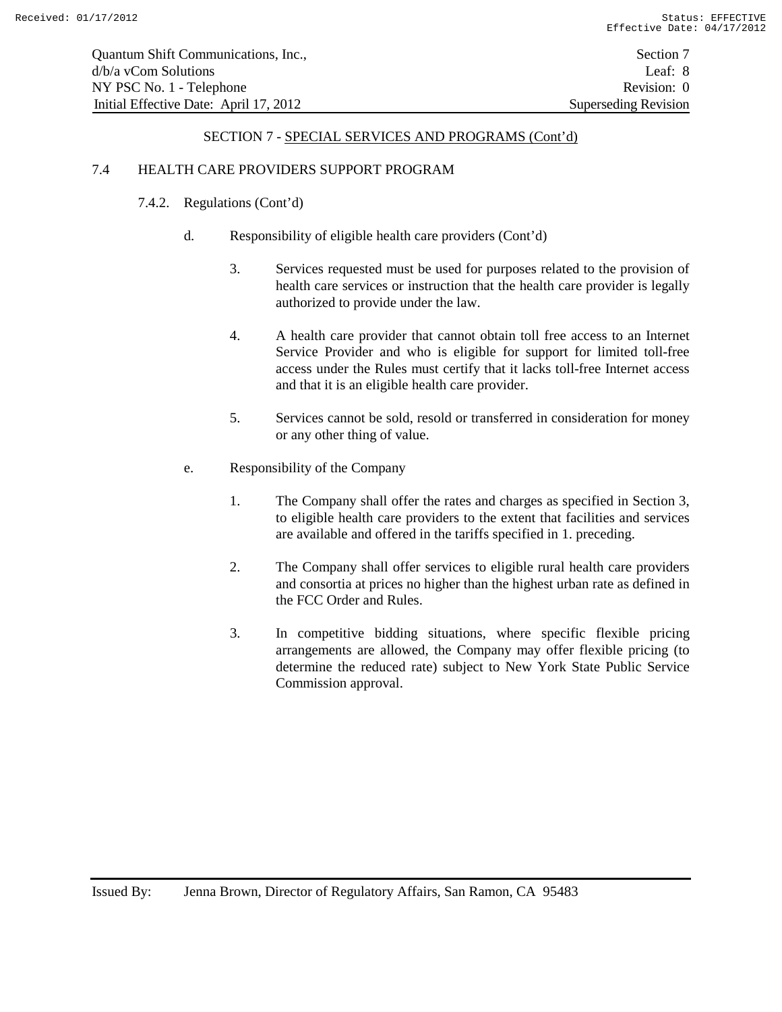## 7.4 HEALTH CARE PROVIDERS SUPPORT PROGRAM

# 7.4.2. Regulations (Cont'd)

- d. Responsibility of eligible health care providers (Cont'd)
	- 3. Services requested must be used for purposes related to the provision of health care services or instruction that the health care provider is legally authorized to provide under the law.
	- 4. A health care provider that cannot obtain toll free access to an Internet Service Provider and who is eligible for support for limited toll-free access under the Rules must certify that it lacks toll-free Internet access and that it is an eligible health care provider.
	- 5. Services cannot be sold, resold or transferred in consideration for money or any other thing of value.
- e. Responsibility of the Company
	- 1. The Company shall offer the rates and charges as specified in Section 3, to eligible health care providers to the extent that facilities and services are available and offered in the tariffs specified in 1. preceding.
	- 2. The Company shall offer services to eligible rural health care providers and consortia at prices no higher than the highest urban rate as defined in the FCC Order and Rules.
	- 3. In competitive bidding situations, where specific flexible pricing arrangements are allowed, the Company may offer flexible pricing (to determine the reduced rate) subject to New York State Public Service Commission approval.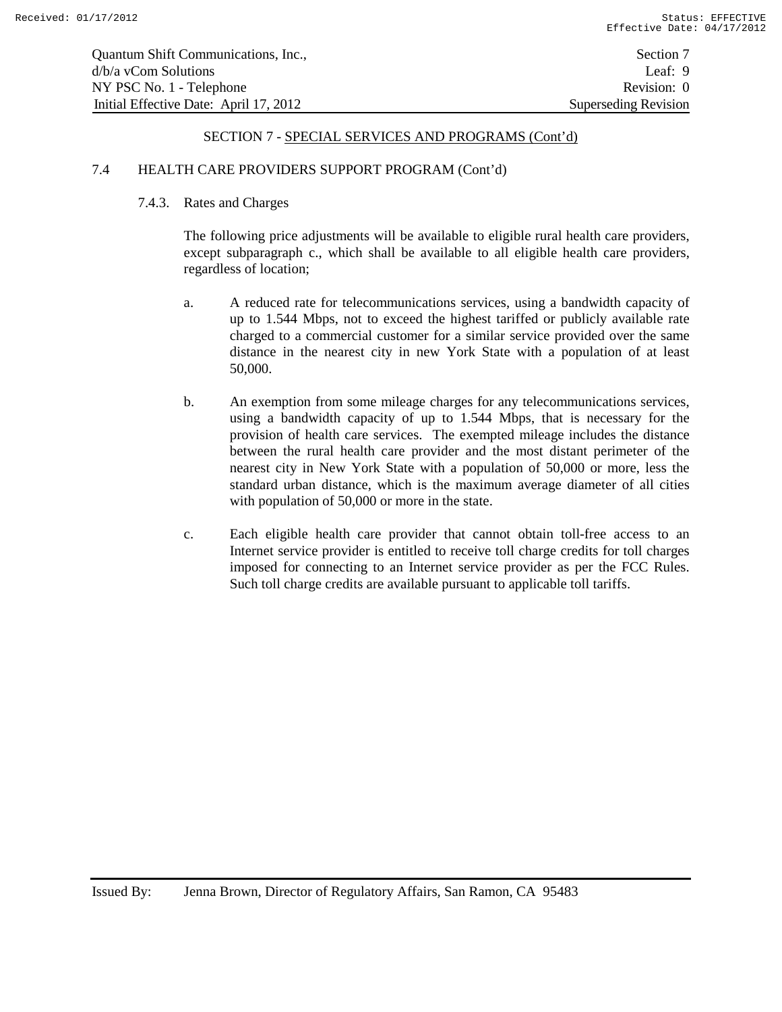### 7.4 HEALTH CARE PROVIDERS SUPPORT PROGRAM (Cont'd)

### 7.4.3. Rates and Charges

The following price adjustments will be available to eligible rural health care providers, except subparagraph c., which shall be available to all eligible health care providers, regardless of location;

- a. A reduced rate for telecommunications services, using a bandwidth capacity of up to 1.544 Mbps, not to exceed the highest tariffed or publicly available rate charged to a commercial customer for a similar service provided over the same distance in the nearest city in new York State with a population of at least 50,000.
- b. An exemption from some mileage charges for any telecommunications services, using a bandwidth capacity of up to 1.544 Mbps, that is necessary for the provision of health care services. The exempted mileage includes the distance between the rural health care provider and the most distant perimeter of the nearest city in New York State with a population of 50,000 or more, less the standard urban distance, which is the maximum average diameter of all cities with population of 50,000 or more in the state.
- c. Each eligible health care provider that cannot obtain toll-free access to an Internet service provider is entitled to receive toll charge credits for toll charges imposed for connecting to an Internet service provider as per the FCC Rules. Such toll charge credits are available pursuant to applicable toll tariffs.